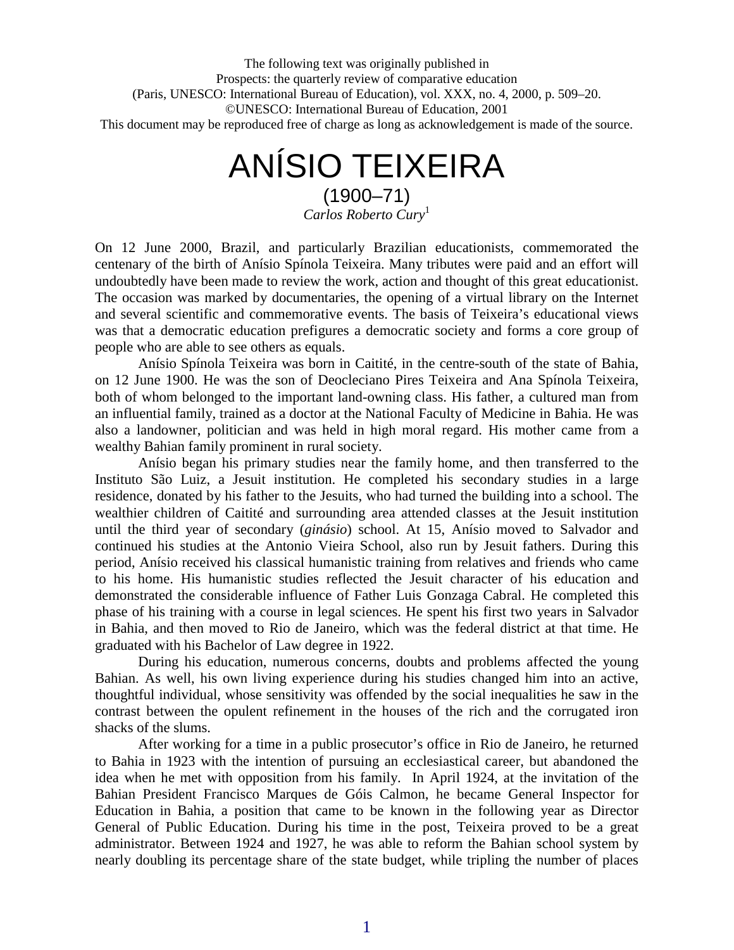The following text was originally published in Prospects: the quarterly review of comparative education (Paris, UNESCO: International Bureau of Education), vol. XXX, no. 4, 2000, p. 509–20. ©UNESCO: International Bureau of Education, 2001 This document may be reproduced free of charge as long as acknowledgement is made of the source.

## ANÍSIO TEIXEIRA (1900–71) *Carlos Roberto Cury*<sup>1</sup>

On 12 June 2000, Brazil, and particularly Brazilian educationists, commemorated the centenary of the birth of Anísio Spínola Teixeira. Many tributes were paid and an effort will undoubtedly have been made to review the work, action and thought of this great educationist. The occasion was marked by documentaries, the opening of a virtual library on the Internet and several scientific and commemorative events. The basis of Teixeira's educational views was that a democratic education prefigures a democratic society and forms a core group of people who are able to see others as equals.

Anísio Spínola Teixeira was born in Caitité, in the centre-south of the state of Bahia, on 12 June 1900. He was the son of Deocleciano Pires Teixeira and Ana Spínola Teixeira, both of whom belonged to the important land-owning class. His father, a cultured man from an influential family, trained as a doctor at the National Faculty of Medicine in Bahia. He was also a landowner, politician and was held in high moral regard. His mother came from a wealthy Bahian family prominent in rural society.

Anísio began his primary studies near the family home, and then transferred to the Instituto São Luiz, a Jesuit institution. He completed his secondary studies in a large residence, donated by his father to the Jesuits, who had turned the building into a school. The wealthier children of Caitité and surrounding area attended classes at the Jesuit institution until the third year of secondary (*ginásio*) school. At 15, Anísio moved to Salvador and continued his studies at the Antonio Vieira School, also run by Jesuit fathers. During this period, Anísio received his classical humanistic training from relatives and friends who came to his home. His humanistic studies reflected the Jesuit character of his education and demonstrated the considerable influence of Father Luis Gonzaga Cabral. He completed this phase of his training with a course in legal sciences. He spent his first two years in Salvador in Bahia, and then moved to Rio de Janeiro, which was the federal district at that time. He graduated with his Bachelor of Law degree in 1922.

During his education, numerous concerns, doubts and problems affected the young Bahian. As well, his own living experience during his studies changed him into an active, thoughtful individual, whose sensitivity was offended by the social inequalities he saw in the contrast between the opulent refinement in the houses of the rich and the corrugated iron shacks of the slums.

After working for a time in a public prosecutor's office in Rio de Janeiro, he returned to Bahia in 1923 with the intention of pursuing an ecclesiastical career, but abandoned the idea when he met with opposition from his family. In April 1924, at the invitation of the Bahian President Francisco Marques de Góis Calmon, he became General Inspector for Education in Bahia, a position that came to be known in the following year as Director General of Public Education. During his time in the post, Teixeira proved to be a great administrator. Between 1924 and 1927, he was able to reform the Bahian school system by nearly doubling its percentage share of the state budget, while tripling the number of places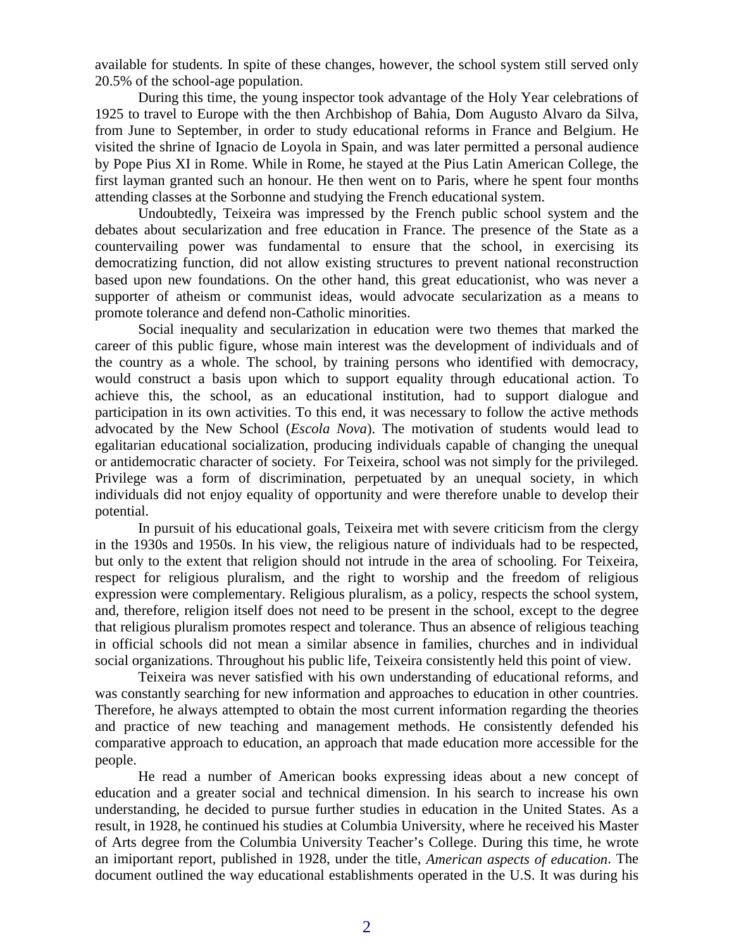available for students. In spite of these changes, however, the school system still served only 20.5% of the school-age population.

During this time, the young inspector took advantage of the Holy Year celebrations of 1925 to travel to Europe with the then Archbishop of Bahia, Dom Augusto Alvaro da Silva, from June to September, in order to study educational reforms in France and Belgium. He visited the shrine of Ignacio de Loyola in Spain, and was later permitted a personal audience by Pope Pius XI in Rome. While in Rome, he stayed at the Pius Latin American College, the first layman granted such an honour. He then went on to Paris, where he spent four months attending classes at the Sorbonne and studying the French educational system.

Undoubtedly, Teixeira was impressed by the French public school system and the debates about secularization and free education in France. The presence of the State as a countervailing power was fundamental to ensure that the school, in exercising its democratizing function, did not allow existing structures to prevent national reconstruction based upon new foundations. On the other hand, this great educationist, who was never a supporter of atheism or communist ideas, would advocate secularization as a means to promote tolerance and defend non-Catholic minorities.

Social inequality and secularization in education were two themes that marked the career of this public figure, whose main interest was the development of individuals and of the country as a whole. The school, by training persons who identified with democracy, would construct a basis upon which to support equality through educational action. To achieve this, the school, as an educational institution, had to support dialogue and participation in its own activities. To this end, it was necessary to follow the active methods advocated by the New School (*Escola Nova*). The motivation of students would lead to egalitarian educational socialization, producing individuals capable of changing the unequal or antidemocratic character of society. For Teixeira, school was not simply for the privileged. Privilege was a form of discrimination, perpetuated by an unequal society, in which individuals did not enjoy equality of opportunity and were therefore unable to develop their potential.

In pursuit of his educational goals, Teixeira met with severe criticism from the clergy in the 1930s and 1950s. In his view, the religious nature of individuals had to be respected, but only to the extent that religion should not intrude in the area of schooling. For Teixeira, respect for religious pluralism, and the right to worship and the freedom of religious expression were complementary. Religious pluralism, as a policy, respects the school system, and, therefore, religion itself does not need to be present in the school, except to the degree that religious pluralism promotes respect and tolerance. Thus an absence of religious teaching in official schools did not mean a similar absence in families, churches and in individual social organizations. Throughout his public life, Teixeira consistently held this point of view.

Teixeira was never satisfied with his own understanding of educational reforms, and was constantly searching for new information and approaches to education in other countries. Therefore, he always attempted to obtain the most current information regarding the theories and practice of new teaching and management methods. He consistently defended his comparative approach to education, an approach that made education more accessible for the people.

He read a number of American books expressing ideas about a new concept of education and a greater social and technical dimension. In his search to increase his own understanding, he decided to pursue further studies in education in the United States. As a result, in 1928, he continued his studies at Columbia University, where he received his Master of Arts degree from the Columbia University Teacher's College. During this time, he wrote an imiportant report, published in 1928, under the title, *American aspects of education*. The document outlined the way educational establishments operated in the U.S. It was during his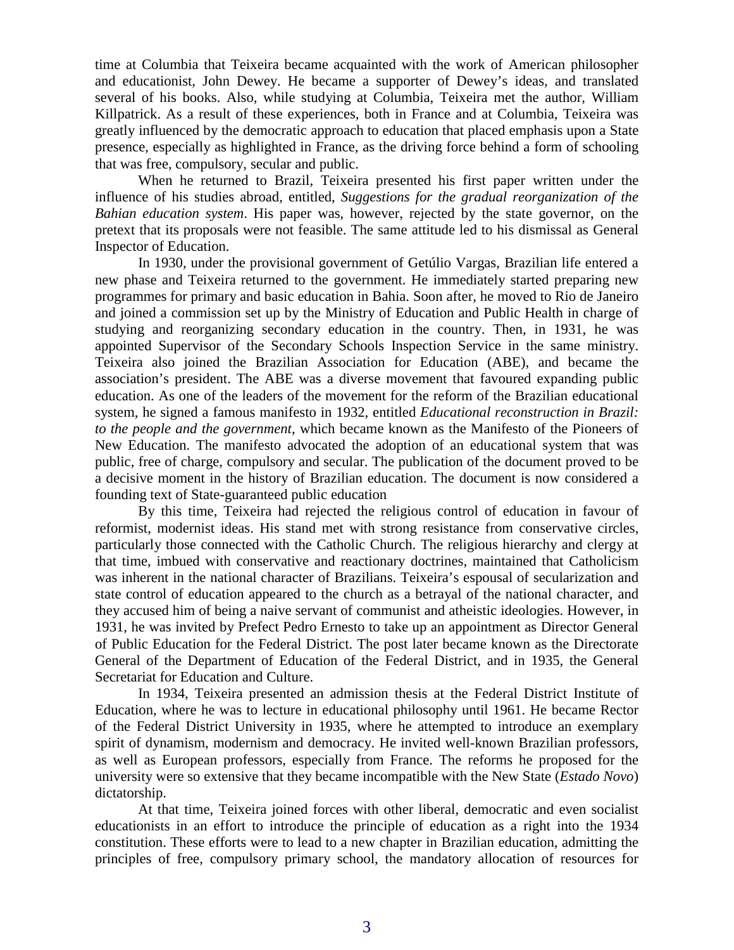time at Columbia that Teixeira became acquainted with the work of American philosopher and educationist, John Dewey. He became a supporter of Dewey's ideas, and translated several of his books. Also, while studying at Columbia, Teixeira met the author, William Killpatrick. As a result of these experiences, both in France and at Columbia, Teixeira was greatly influenced by the democratic approach to education that placed emphasis upon a State presence, especially as highlighted in France, as the driving force behind a form of schooling that was free, compulsory, secular and public.

When he returned to Brazil, Teixeira presented his first paper written under the influence of his studies abroad, entitled, *Suggestions for the gradual reorganization of the Bahian education system*. His paper was, however, rejected by the state governor, on the pretext that its proposals were not feasible. The same attitude led to his dismissal as General Inspector of Education.

In 1930, under the provisional government of Getúlio Vargas, Brazilian life entered a new phase and Teixeira returned to the government. He immediately started preparing new programmes for primary and basic education in Bahia. Soon after, he moved to Rio de Janeiro and joined a commission set up by the Ministry of Education and Public Health in charge of studying and reorganizing secondary education in the country. Then, in 1931, he was appointed Supervisor of the Secondary Schools Inspection Service in the same ministry. Teixeira also joined the Brazilian Association for Education (ABE), and became the association's president. The ABE was a diverse movement that favoured expanding public education. As one of the leaders of the movement for the reform of the Brazilian educational system, he signed a famous manifesto in 1932, entitled *Educational reconstruction in Brazil: to the people and the government*, which became known as the Manifesto of the Pioneers of New Education. The manifesto advocated the adoption of an educational system that was public, free of charge, compulsory and secular. The publication of the document proved to be a decisive moment in the history of Brazilian education. The document is now considered a founding text of State-guaranteed public education

By this time, Teixeira had rejected the religious control of education in favour of reformist, modernist ideas. His stand met with strong resistance from conservative circles, particularly those connected with the Catholic Church. The religious hierarchy and clergy at that time, imbued with conservative and reactionary doctrines, maintained that Catholicism was inherent in the national character of Brazilians. Teixeira's espousal of secularization and state control of education appeared to the church as a betrayal of the national character, and they accused him of being a naive servant of communist and atheistic ideologies. However, in 1931, he was invited by Prefect Pedro Ernesto to take up an appointment as Director General of Public Education for the Federal District. The post later became known as the Directorate General of the Department of Education of the Federal District, and in 1935, the General Secretariat for Education and Culture.

In 1934, Teixeira presented an admission thesis at the Federal District Institute of Education, where he was to lecture in educational philosophy until 1961. He became Rector of the Federal District University in 1935, where he attempted to introduce an exemplary spirit of dynamism, modernism and democracy. He invited well-known Brazilian professors, as well as European professors, especially from France. The reforms he proposed for the university were so extensive that they became incompatible with the New State (*Estado Novo*) dictatorship.

At that time, Teixeira joined forces with other liberal, democratic and even socialist educationists in an effort to introduce the principle of education as a right into the 1934 constitution. These efforts were to lead to a new chapter in Brazilian education, admitting the principles of free, compulsory primary school, the mandatory allocation of resources for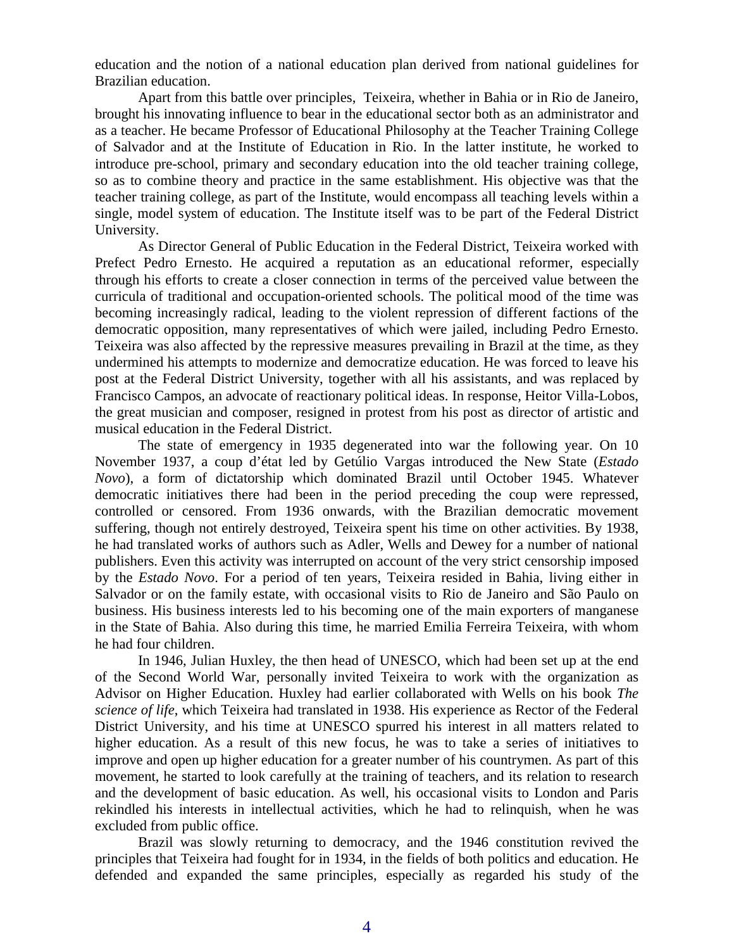education and the notion of a national education plan derived from national guidelines for Brazilian education.

Apart from this battle over principles, Teixeira, whether in Bahia or in Rio de Janeiro, brought his innovating influence to bear in the educational sector both as an administrator and as a teacher. He became Professor of Educational Philosophy at the Teacher Training College of Salvador and at the Institute of Education in Rio. In the latter institute, he worked to introduce pre-school, primary and secondary education into the old teacher training college, so as to combine theory and practice in the same establishment. His objective was that the teacher training college, as part of the Institute, would encompass all teaching levels within a single, model system of education. The Institute itself was to be part of the Federal District University.

As Director General of Public Education in the Federal District, Teixeira worked with Prefect Pedro Ernesto. He acquired a reputation as an educational reformer, especially through his efforts to create a closer connection in terms of the perceived value between the curricula of traditional and occupation-oriented schools. The political mood of the time was becoming increasingly radical, leading to the violent repression of different factions of the democratic opposition, many representatives of which were jailed, including Pedro Ernesto. Teixeira was also affected by the repressive measures prevailing in Brazil at the time, as they undermined his attempts to modernize and democratize education. He was forced to leave his post at the Federal District University, together with all his assistants, and was replaced by Francisco Campos, an advocate of reactionary political ideas. In response, Heitor Villa-Lobos, the great musician and composer, resigned in protest from his post as director of artistic and musical education in the Federal District.

The state of emergency in 1935 degenerated into war the following year. On 10 November 1937, a coup d'état led by Getúlio Vargas introduced the New State (*Estado Novo*), a form of dictatorship which dominated Brazil until October 1945. Whatever democratic initiatives there had been in the period preceding the coup were repressed, controlled or censored. From 1936 onwards, with the Brazilian democratic movement suffering, though not entirely destroyed, Teixeira spent his time on other activities. By 1938, he had translated works of authors such as Adler, Wells and Dewey for a number of national publishers. Even this activity was interrupted on account of the very strict censorship imposed by the *Estado Novo*. For a period of ten years, Teixeira resided in Bahia, living either in Salvador or on the family estate, with occasional visits to Rio de Janeiro and São Paulo on business. His business interests led to his becoming one of the main exporters of manganese in the State of Bahia. Also during this time, he married Emilia Ferreira Teixeira, with whom he had four children.

In 1946, Julian Huxley, the then head of UNESCO, which had been set up at the end of the Second World War, personally invited Teixeira to work with the organization as Advisor on Higher Education. Huxley had earlier collaborated with Wells on his book *The science of life*, which Teixeira had translated in 1938. His experience as Rector of the Federal District University, and his time at UNESCO spurred his interest in all matters related to higher education. As a result of this new focus, he was to take a series of initiatives to improve and open up higher education for a greater number of his countrymen. As part of this movement, he started to look carefully at the training of teachers, and its relation to research and the development of basic education. As well, his occasional visits to London and Paris rekindled his interests in intellectual activities, which he had to relinquish, when he was excluded from public office.

Brazil was slowly returning to democracy, and the 1946 constitution revived the principles that Teixeira had fought for in 1934, in the fields of both politics and education. He defended and expanded the same principles, especially as regarded his study of the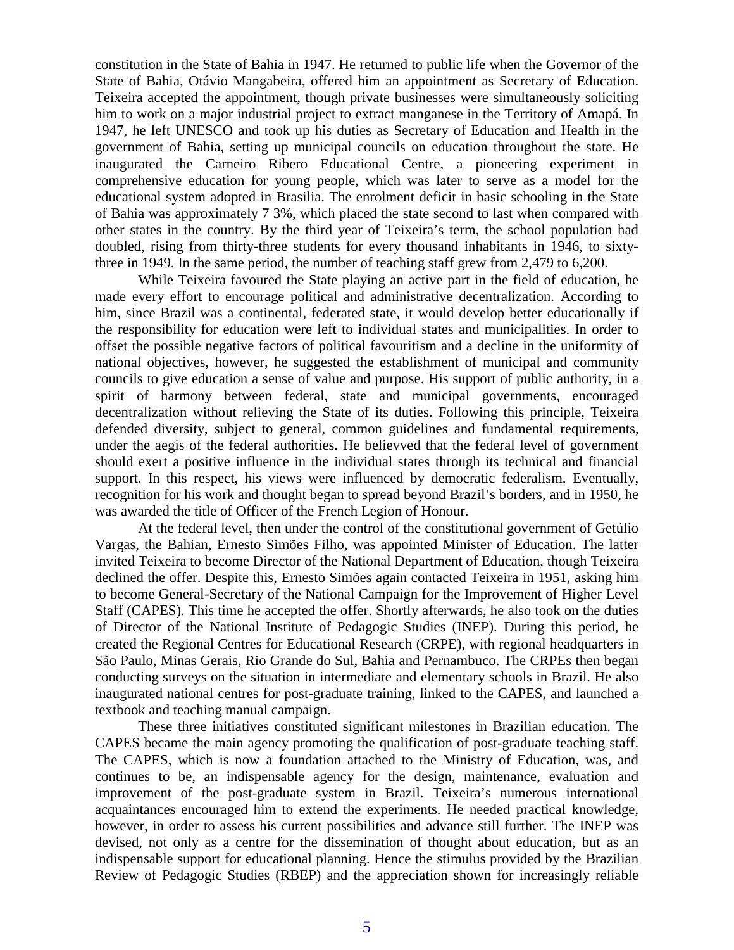constitution in the State of Bahia in 1947. He returned to public life when the Governor of the State of Bahia, Otávio Mangabeira, offered him an appointment as Secretary of Education. Teixeira accepted the appointment, though private businesses were simultaneously soliciting him to work on a major industrial project to extract manganese in the Territory of Amapá. In 1947, he left UNESCO and took up his duties as Secretary of Education and Health in the government of Bahia, setting up municipal councils on education throughout the state. He inaugurated the Carneiro Ribero Educational Centre, a pioneering experiment in comprehensive education for young people, which was later to serve as a model for the educational system adopted in Brasilia. The enrolment deficit in basic schooling in the State of Bahia was approximately 7 3%, which placed the state second to last when compared with other states in the country. By the third year of Teixeira's term, the school population had doubled, rising from thirty-three students for every thousand inhabitants in 1946, to sixtythree in 1949. In the same period, the number of teaching staff grew from 2,479 to 6,200.

While Teixeira favoured the State playing an active part in the field of education, he made every effort to encourage political and administrative decentralization. According to him, since Brazil was a continental, federated state, it would develop better educationally if the responsibility for education were left to individual states and municipalities. In order to offset the possible negative factors of political favouritism and a decline in the uniformity of national objectives, however, he suggested the establishment of municipal and community councils to give education a sense of value and purpose. His support of public authority, in a spirit of harmony between federal, state and municipal governments, encouraged decentralization without relieving the State of its duties. Following this principle, Teixeira defended diversity, subject to general, common guidelines and fundamental requirements, under the aegis of the federal authorities. He believved that the federal level of government should exert a positive influence in the individual states through its technical and financial support. In this respect, his views were influenced by democratic federalism. Eventually, recognition for his work and thought began to spread beyond Brazil's borders, and in 1950, he was awarded the title of Officer of the French Legion of Honour.

At the federal level, then under the control of the constitutional government of Getúlio Vargas, the Bahian, Ernesto Simões Filho, was appointed Minister of Education. The latter invited Teixeira to become Director of the National Department of Education, though Teixeira declined the offer. Despite this, Ernesto Simões again contacted Teixeira in 1951, asking him to become General-Secretary of the National Campaign for the Improvement of Higher Level Staff (CAPES). This time he accepted the offer. Shortly afterwards, he also took on the duties of Director of the National Institute of Pedagogic Studies (INEP). During this period, he created the Regional Centres for Educational Research (CRPE), with regional headquarters in São Paulo, Minas Gerais, Rio Grande do Sul, Bahia and Pernambuco. The CRPEs then began conducting surveys on the situation in intermediate and elementary schools in Brazil. He also inaugurated national centres for post-graduate training, linked to the CAPES, and launched a textbook and teaching manual campaign.

These three initiatives constituted significant milestones in Brazilian education. The CAPES became the main agency promoting the qualification of post-graduate teaching staff. The CAPES, which is now a foundation attached to the Ministry of Education, was, and continues to be, an indispensable agency for the design, maintenance, evaluation and improvement of the post-graduate system in Brazil. Teixeira's numerous international acquaintances encouraged him to extend the experiments. He needed practical knowledge, however, in order to assess his current possibilities and advance still further. The INEP was devised, not only as a centre for the dissemination of thought about education, but as an indispensable support for educational planning. Hence the stimulus provided by the Brazilian Review of Pedagogic Studies (RBEP) and the appreciation shown for increasingly reliable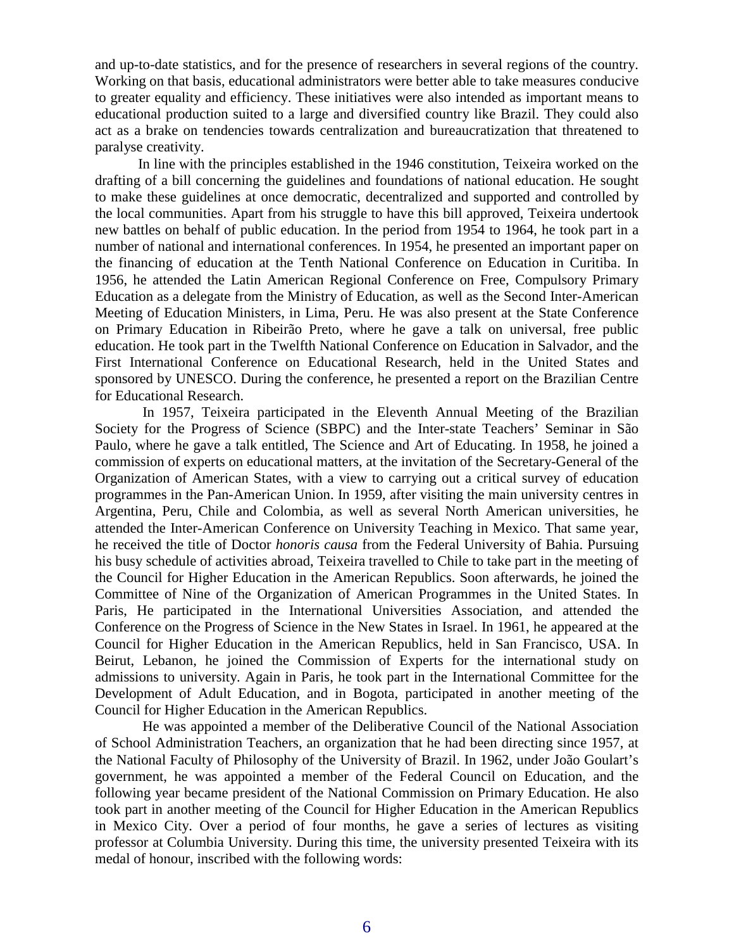and up-to-date statistics, and for the presence of researchers in several regions of the country. Working on that basis, educational administrators were better able to take measures conducive to greater equality and efficiency. These initiatives were also intended as important means to educational production suited to a large and diversified country like Brazil. They could also act as a brake on tendencies towards centralization and bureaucratization that threatened to paralyse creativity.

In line with the principles established in the 1946 constitution, Teixeira worked on the drafting of a bill concerning the guidelines and foundations of national education. He sought to make these guidelines at once democratic, decentralized and supported and controlled by the local communities. Apart from his struggle to have this bill approved, Teixeira undertook new battles on behalf of public education. In the period from 1954 to 1964, he took part in a number of national and international conferences. In 1954, he presented an important paper on the financing of education at the Tenth National Conference on Education in Curitiba. In 1956, he attended the Latin American Regional Conference on Free, Compulsory Primary Education as a delegate from the Ministry of Education, as well as the Second Inter-American Meeting of Education Ministers, in Lima, Peru. He was also present at the State Conference on Primary Education in Ribeirão Preto, where he gave a talk on universal, free public education. He took part in the Twelfth National Conference on Education in Salvador, and the First International Conference on Educational Research, held in the United States and sponsored by UNESCO. During the conference, he presented a report on the Brazilian Centre for Educational Research.

In 1957, Teixeira participated in the Eleventh Annual Meeting of the Brazilian Society for the Progress of Science (SBPC) and the Inter-state Teachers' Seminar in São Paulo, where he gave a talk entitled, The Science and Art of Educating. In 1958, he joined a commission of experts on educational matters, at the invitation of the Secretary-General of the Organization of American States, with a view to carrying out a critical survey of education programmes in the Pan-American Union. In 1959, after visiting the main university centres in Argentina, Peru, Chile and Colombia, as well as several North American universities, he attended the Inter-American Conference on University Teaching in Mexico. That same year, he received the title of Doctor *honoris causa* from the Federal University of Bahia. Pursuing his busy schedule of activities abroad, Teixeira travelled to Chile to take part in the meeting of the Council for Higher Education in the American Republics. Soon afterwards, he joined the Committee of Nine of the Organization of American Programmes in the United States. In Paris, He participated in the International Universities Association, and attended the Conference on the Progress of Science in the New States in Israel. In 1961, he appeared at the Council for Higher Education in the American Republics, held in San Francisco, USA. In Beirut, Lebanon, he joined the Commission of Experts for the international study on admissions to university. Again in Paris, he took part in the International Committee for the Development of Adult Education, and in Bogota, participated in another meeting of the Council for Higher Education in the American Republics.

He was appointed a member of the Deliberative Council of the National Association of School Administration Teachers, an organization that he had been directing since 1957, at the National Faculty of Philosophy of the University of Brazil. In 1962, under João Goulart's government, he was appointed a member of the Federal Council on Education, and the following year became president of the National Commission on Primary Education. He also took part in another meeting of the Council for Higher Education in the American Republics in Mexico City. Over a period of four months, he gave a series of lectures as visiting professor at Columbia University. During this time, the university presented Teixeira with its medal of honour, inscribed with the following words: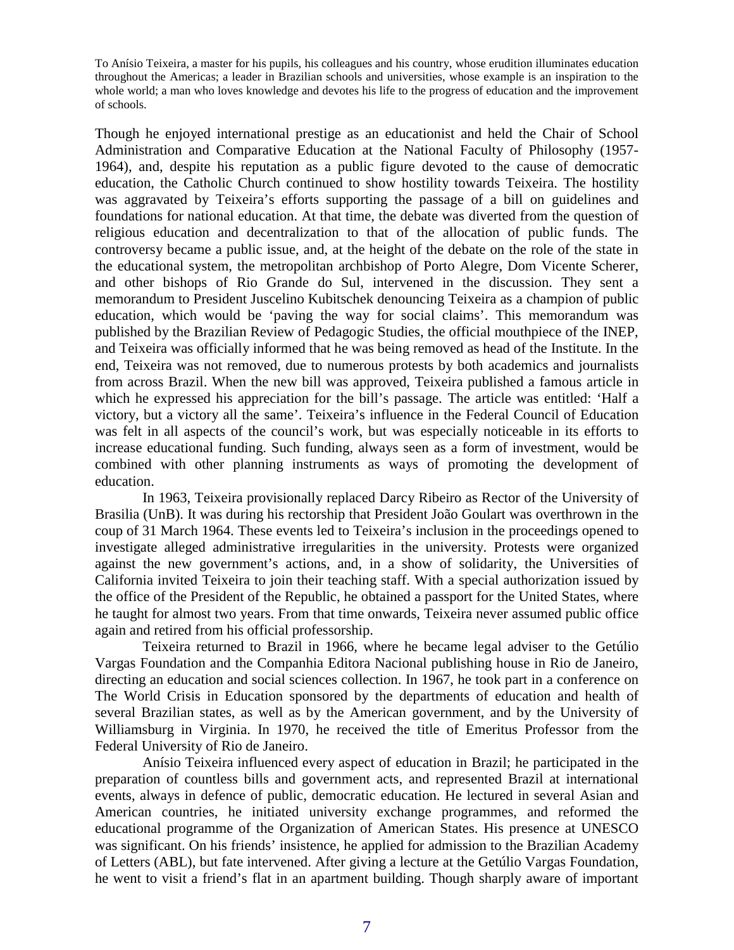To Anísio Teixeira, a master for his pupils, his colleagues and his country, whose erudition illuminates education throughout the Americas; a leader in Brazilian schools and universities, whose example is an inspiration to the whole world; a man who loves knowledge and devotes his life to the progress of education and the improvement of schools.

Though he enjoyed international prestige as an educationist and held the Chair of School Administration and Comparative Education at the National Faculty of Philosophy (1957- 1964), and, despite his reputation as a public figure devoted to the cause of democratic education, the Catholic Church continued to show hostility towards Teixeira. The hostility was aggravated by Teixeira's efforts supporting the passage of a bill on guidelines and foundations for national education. At that time, the debate was diverted from the question of religious education and decentralization to that of the allocation of public funds. The controversy became a public issue, and, at the height of the debate on the role of the state in the educational system, the metropolitan archbishop of Porto Alegre, Dom Vicente Scherer, and other bishops of Rio Grande do Sul, intervened in the discussion. They sent a memorandum to President Juscelino Kubitschek denouncing Teixeira as a champion of public education, which would be 'paving the way for social claims'. This memorandum was published by the Brazilian Review of Pedagogic Studies, the official mouthpiece of the INEP, and Teixeira was officially informed that he was being removed as head of the Institute. In the end, Teixeira was not removed, due to numerous protests by both academics and journalists from across Brazil. When the new bill was approved, Teixeira published a famous article in which he expressed his appreciation for the bill's passage. The article was entitled: 'Half a victory, but a victory all the same'. Teixeira's influence in the Federal Council of Education was felt in all aspects of the council's work, but was especially noticeable in its efforts to increase educational funding. Such funding, always seen as a form of investment, would be combined with other planning instruments as ways of promoting the development of education.

In 1963, Teixeira provisionally replaced Darcy Ribeiro as Rector of the University of Brasilia (UnB). It was during his rectorship that President João Goulart was overthrown in the coup of 31 March 1964. These events led to Teixeira's inclusion in the proceedings opened to investigate alleged administrative irregularities in the university. Protests were organized against the new government's actions, and, in a show of solidarity, the Universities of California invited Teixeira to join their teaching staff. With a special authorization issued by the office of the President of the Republic, he obtained a passport for the United States, where he taught for almost two years. From that time onwards, Teixeira never assumed public office again and retired from his official professorship.

Teixeira returned to Brazil in 1966, where he became legal adviser to the Getúlio Vargas Foundation and the Companhia Editora Nacional publishing house in Rio de Janeiro, directing an education and social sciences collection. In 1967, he took part in a conference on The World Crisis in Education sponsored by the departments of education and health of several Brazilian states, as well as by the American government, and by the University of Williamsburg in Virginia. In 1970, he received the title of Emeritus Professor from the Federal University of Rio de Janeiro.

Anísio Teixeira influenced every aspect of education in Brazil; he participated in the preparation of countless bills and government acts, and represented Brazil at international events, always in defence of public, democratic education. He lectured in several Asian and American countries, he initiated university exchange programmes, and reformed the educational programme of the Organization of American States. His presence at UNESCO was significant. On his friends' insistence, he applied for admission to the Brazilian Academy of Letters (ABL), but fate intervened. After giving a lecture at the Getúlio Vargas Foundation, he went to visit a friend's flat in an apartment building. Though sharply aware of important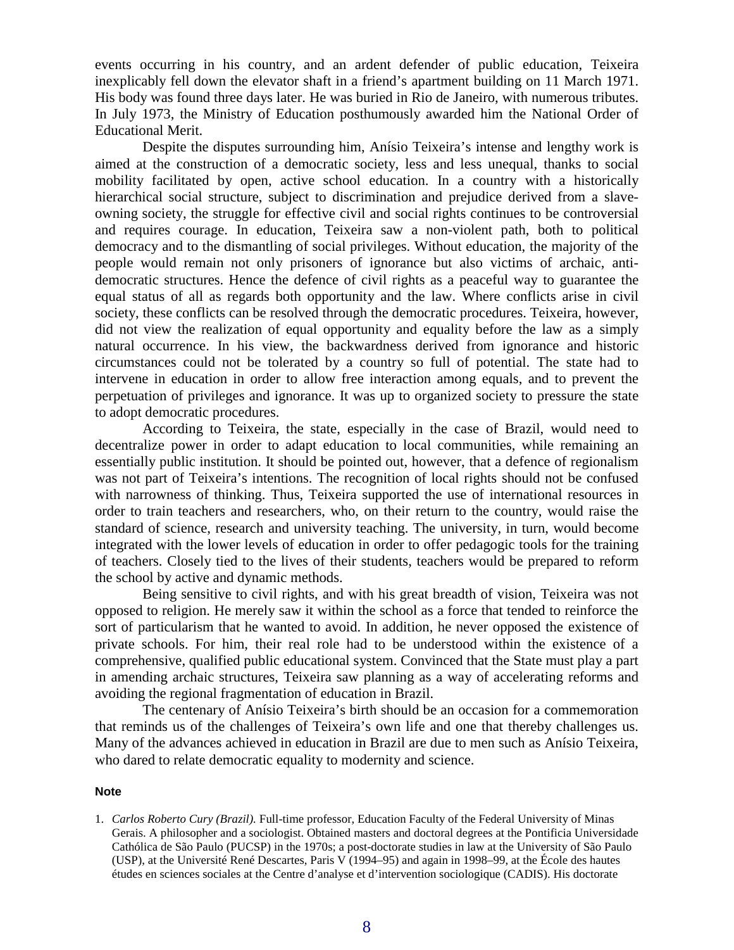events occurring in his country, and an ardent defender of public education, Teixeira inexplicably fell down the elevator shaft in a friend's apartment building on 11 March 1971. His body was found three days later. He was buried in Rio de Janeiro, with numerous tributes. In July 1973, the Ministry of Education posthumously awarded him the National Order of Educational Merit.

Despite the disputes surrounding him, Anísio Teixeira's intense and lengthy work is aimed at the construction of a democratic society, less and less unequal, thanks to social mobility facilitated by open, active school education. In a country with a historically hierarchical social structure, subject to discrimination and prejudice derived from a slaveowning society, the struggle for effective civil and social rights continues to be controversial and requires courage. In education, Teixeira saw a non-violent path, both to political democracy and to the dismantling of social privileges. Without education, the majority of the people would remain not only prisoners of ignorance but also victims of archaic, antidemocratic structures. Hence the defence of civil rights as a peaceful way to guarantee the equal status of all as regards both opportunity and the law. Where conflicts arise in civil society, these conflicts can be resolved through the democratic procedures. Teixeira, however, did not view the realization of equal opportunity and equality before the law as a simply natural occurrence. In his view, the backwardness derived from ignorance and historic circumstances could not be tolerated by a country so full of potential. The state had to intervene in education in order to allow free interaction among equals, and to prevent the perpetuation of privileges and ignorance. It was up to organized society to pressure the state to adopt democratic procedures.

According to Teixeira, the state, especially in the case of Brazil, would need to decentralize power in order to adapt education to local communities, while remaining an essentially public institution. It should be pointed out, however, that a defence of regionalism was not part of Teixeira's intentions. The recognition of local rights should not be confused with narrowness of thinking. Thus, Teixeira supported the use of international resources in order to train teachers and researchers, who, on their return to the country, would raise the standard of science, research and university teaching. The university, in turn, would become integrated with the lower levels of education in order to offer pedagogic tools for the training of teachers. Closely tied to the lives of their students, teachers would be prepared to reform the school by active and dynamic methods.

Being sensitive to civil rights, and with his great breadth of vision, Teixeira was not opposed to religion. He merely saw it within the school as a force that tended to reinforce the sort of particularism that he wanted to avoid. In addition, he never opposed the existence of private schools. For him, their real role had to be understood within the existence of a comprehensive, qualified public educational system. Convinced that the State must play a part in amending archaic structures, Teixeira saw planning as a way of accelerating reforms and avoiding the regional fragmentation of education in Brazil.

The centenary of Anísio Teixeira's birth should be an occasion for a commemoration that reminds us of the challenges of Teixeira's own life and one that thereby challenges us. Many of the advances achieved in education in Brazil are due to men such as Anísio Teixeira, who dared to relate democratic equality to modernity and science.

## **Note**

1. *Carlos Roberto Cury (Brazil).* Full-time professor, Education Faculty of the Federal University of Minas Gerais. A philosopher and a sociologist. Obtained masters and doctoral degrees at the Pontificia Universidade Cathólica de São Paulo (PUCSP) in the 1970s; a post-doctorate studies in law at the University of São Paulo (USP), at the Université René Descartes, Paris V (1994–95) and again in 1998–99, at the École des hautes études en sciences sociales at the Centre d'analyse et d'intervention sociologique (CADIS). His doctorate